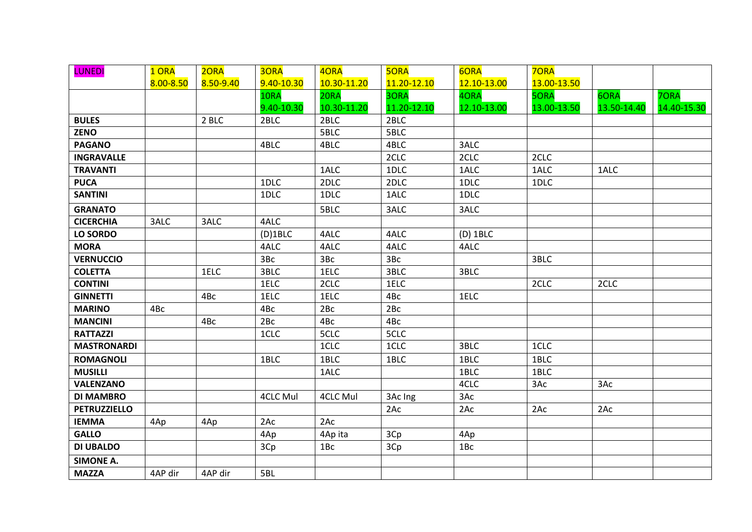| <b>LUNEDI</b>       | 1 ORA     | 2ORA      | 3ORA            | 4ORA            | <b>5ORA</b> | 6ORA        | <b>70RA</b> |             |             |
|---------------------|-----------|-----------|-----------------|-----------------|-------------|-------------|-------------|-------------|-------------|
|                     | 8.00-8.50 | 8.50-9.40 | 9.40-10.30      | 10.30-11.20     | 11.20-12.10 | 12.10-13.00 | 13.00-13.50 |             |             |
|                     |           |           | 10RA            | 20RA            | 3ORA        | 4ORA        | <b>5ORA</b> | 6ORA        | <b>7ORA</b> |
|                     |           |           | 9.40-10.30      | 10.30-11.20     | 11.20-12.10 | 12.10-13.00 | 13.00-13.50 | 13.50-14.40 | 14.40-15.30 |
| <b>BULES</b>        |           | 2 BLC     | 2BLC            | 2BLC            | 2BLC        |             |             |             |             |
| <b>ZENO</b>         |           |           |                 | 5BLC            | 5BLC        |             |             |             |             |
| <b>PAGANO</b>       |           |           | 4BLC            | 4BLC            | 4BLC        | 3ALC        |             |             |             |
| <b>INGRAVALLE</b>   |           |           |                 |                 | 2CLC        | 2CLC        | 2CLC        |             |             |
| <b>TRAVANTI</b>     |           |           |                 | 1ALC            | 1DLC        | 1ALC        | 1ALC        | 1ALC        |             |
| <b>PUCA</b>         |           |           | 1DLC            | 2DLC            | 2DLC        | 1DLC        | 1DLC        |             |             |
| <b>SANTINI</b>      |           |           | 1DLC            | 1DLC            | 1ALC        | 1DLC        |             |             |             |
| <b>GRANATO</b>      |           |           |                 | 5BLC            | 3ALC        | 3ALC        |             |             |             |
| <b>CICERCHIA</b>    | 3ALC      | 3ALC      | 4ALC            |                 |             |             |             |             |             |
| LO SORDO            |           |           | $(D)$ 1BLC      | 4ALC            | 4ALC        | $(D)$ 1BLC  |             |             |             |
| <b>MORA</b>         |           |           | 4ALC            | 4ALC            | 4ALC        | 4ALC        |             |             |             |
| <b>VERNUCCIO</b>    |           |           | 3Bc             | 3Bc             | 3Bc         |             | 3BLC        |             |             |
| <b>COLETTA</b>      |           | 1ELC      | 3BLC            | 1ELC            | 3BLC        | 3BLC        |             |             |             |
| <b>CONTINI</b>      |           |           | 1ELC            | 2CLC            | 1ELC        |             | 2CLC        | 2CLC        |             |
| <b>GINNETTI</b>     |           | 4Bc       | 1ELC            | 1ELC            | 4Bc         | 1ELC        |             |             |             |
| <b>MARINO</b>       | 4Bc       |           | 4Bc             | 2Bc             | 2Bc         |             |             |             |             |
| <b>MANCINI</b>      |           | 4Bc       | 2Bc             | 4Bc             | 4Bc         |             |             |             |             |
| <b>RATTAZZI</b>     |           |           | 1CLC            | 5CLC            | 5CLC        |             |             |             |             |
| <b>MASTRONARDI</b>  |           |           |                 | 1CLC            | 1CLC        | 3BLC        | 1CLC        |             |             |
| <b>ROMAGNOLI</b>    |           |           | 1BLC            | 1BLC            | 1BLC        | 1BLC        | 1BLC        |             |             |
| <b>MUSILLI</b>      |           |           |                 | 1ALC            |             | 1BLC        | 1BLC        |             |             |
| <b>VALENZANO</b>    |           |           |                 |                 |             | 4CLC        | 3Ac         | 3Ac         |             |
| <b>DI MAMBRO</b>    |           |           | <b>4CLC Mul</b> | <b>4CLC Mul</b> | 3Ac Ing     | 3Ac         |             |             |             |
| <b>PETRUZZIELLO</b> |           |           |                 |                 | 2Ac         | 2Ac         | 2Ac         | 2Ac         |             |
| <b>IEMMA</b>        | 4Ap       | 4Ap       | 2AC             | 2Ac             |             |             |             |             |             |
| <b>GALLO</b>        |           |           | 4Ap             | 4Ap ita         | 3Cp         | 4Ap         |             |             |             |
| <b>DI UBALDO</b>    |           |           | 3Cp             | 1Bc             | 3Cp         | 1Bc         |             |             |             |
| <b>SIMONE A.</b>    |           |           |                 |                 |             |             |             |             |             |
| <b>MAZZA</b>        | 4AP dir   | 4AP dir   | 5BL             |                 |             |             |             |             |             |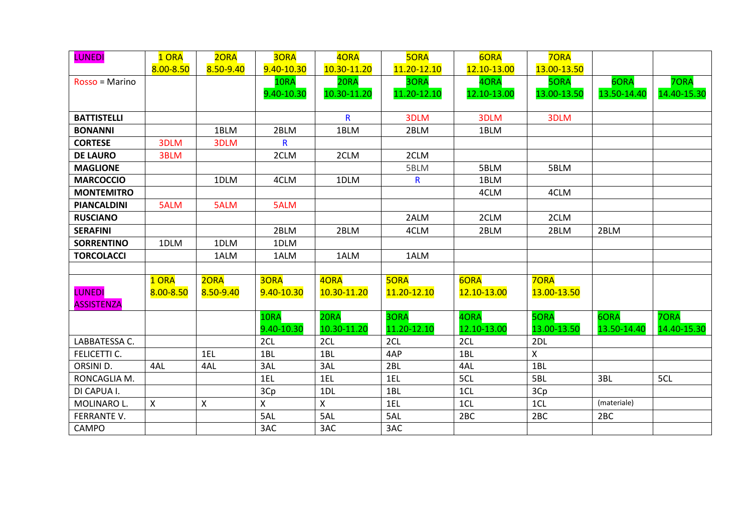| <b>LUNEDI</b>      | 1 ORA     | 20RA         | 30RA       | 40RA         | <b>5ORA</b> | 6ORA        | <b>70RA</b> |             |             |
|--------------------|-----------|--------------|------------|--------------|-------------|-------------|-------------|-------------|-------------|
|                    | 8.00-8.50 | 8.50-9.40    | 9.40-10.30 | 10.30-11.20  | 11.20-12.10 | 12.10-13.00 | 13.00-13.50 |             |             |
| Rosso = Marino     |           |              | 10RA       | 20RA         | 30RA        | 4ORA        | <b>5ORA</b> | 6ORA        | 70RA        |
|                    |           |              | 9.40-10.30 | 10.30-11.20  | 11.20-12.10 | 12.10-13.00 | 13.00-13.50 | 13.50-14.40 | 14.40-15.30 |
|                    |           |              |            |              |             |             |             |             |             |
| <b>BATTISTELLI</b> |           |              |            | $\mathsf{R}$ | 3DLM        | 3DLM        | 3DLM        |             |             |
| <b>BONANNI</b>     |           | 1BLM         | 2BLM       | 1BLM         | 2BLM        | 1BLM        |             |             |             |
| <b>CORTESE</b>     | 3DLM      | 3DLM         | R          |              |             |             |             |             |             |
| <b>DE LAURO</b>    | 3BLM      |              | 2CLM       | 2CLM         | 2CLM        |             |             |             |             |
| <b>MAGLIONE</b>    |           |              |            |              | 5BLM        | 5BLM        | 5BLM        |             |             |
| <b>MARCOCCIO</b>   |           | 1DLM         | 4CLM       | 1DLM         | R           | 1BLM        |             |             |             |
| <b>MONTEMITRO</b>  |           |              |            |              |             | 4CLM        | 4CLM        |             |             |
| <b>PIANCALDINI</b> | 5ALM      | 5ALM         | 5ALM       |              |             |             |             |             |             |
| <b>RUSCIANO</b>    |           |              |            |              | 2ALM        | 2CLM        | 2CLM        |             |             |
| <b>SERAFINI</b>    |           |              | 2BLM       | 2BLM         | 4CLM        | 2BLM        | 2BLM        | 2BLM        |             |
| <b>SORRENTINO</b>  | 1DLM      | 1DLM         | 1DLM       |              |             |             |             |             |             |
| <b>TORCOLACCI</b>  |           | 1ALM         | 1ALM       | 1ALM         | 1ALM        |             |             |             |             |
|                    |           |              |            |              |             |             |             |             |             |
|                    | 1 ORA     | 2ORA         | 30RA       | 40RA         | <b>5ORA</b> | 6ORA        | <b>70RA</b> |             |             |
| <b>LUNEDI</b>      | 8.00-8.50 | 8.50-9.40    | 9.40-10.30 | 10.30-11.20  | 11.20-12.10 | 12.10-13.00 | 13.00-13.50 |             |             |
| <b>ASSISTENZA</b>  |           |              |            |              |             |             |             |             |             |
|                    |           |              | 10RA       | 20RA         | 30RA        | 40RA        | <b>5ORA</b> | 6ORA        | 70RA        |
|                    |           |              | 9.40-10.30 | 10.30-11.20  | 11.20-12.10 | 12.10-13.00 | 13.00-13.50 | 13.50-14.40 | 14.40-15.30 |
| LABBATESSA C.      |           |              | 2CL        | 2CL          | 2CL         | 2CL         | 2DL         |             |             |
| FELICETTI C.       |           | 1EL          | 1BL        | 1BL          | 4AP         | 1BL         | X           |             |             |
| ORSINI D.          | 4AL       | 4AL          | 3AL        | 3AL          | 2BL         | 4AL         | 1BL         |             |             |
| RONCAGLIA M.       |           |              | 1EL        | 1EL          | 1EL         | 5CL         | 5BL         | 3BL         | 5CL         |
| DI CAPUA I.        |           |              | 3Cp        | 1DL          | 1BL         | 1CL         | 3Cp         |             |             |
| MOLINARO L.        | X         | $\mathsf{X}$ | X          | $\mathsf{X}$ | 1EL         | 1CL         | 1CL         | (materiale) |             |
| FERRANTE V.        |           |              | 5AL        | 5AL          | 5AL         | 2BC         | 2BC         | 2BC         |             |
| CAMPO              |           |              | 3AC        | 3AC          | 3AC         |             |             |             |             |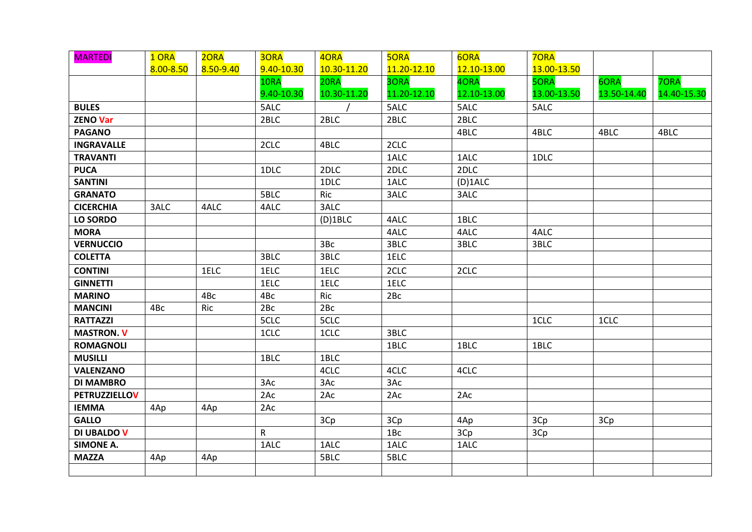| <b>MARTEDI</b>       | 1 ORA     | 2ORA      | 30RA         | 4ORA        | <b>5ORA</b>     | 6ORA        | <b>70RA</b> |             |             |
|----------------------|-----------|-----------|--------------|-------------|-----------------|-------------|-------------|-------------|-------------|
|                      | 8.00-8.50 | 8.50-9.40 | 9.40-10.30   | 10.30-11.20 | 11.20-12.10     | 12.10-13.00 | 13.00-13.50 |             |             |
|                      |           |           | 10RA         | 20RA        | 3ORA            | 4ORA        | <b>5ORA</b> | 6ORA        | <b>7ORA</b> |
|                      |           |           | 9.40-10.30   | 10.30-11.20 | 11.20-12.10     | 12.10-13.00 | 13.00-13.50 | 13.50-14.40 | 14.40-15.30 |
| <b>BULES</b>         |           |           | 5ALC         |             | 5ALC            | 5ALC        | 5ALC        |             |             |
| <b>ZENO Var</b>      |           |           | 2BLC         | 2BLC        | 2BLC            | 2BLC        |             |             |             |
| <b>PAGANO</b>        |           |           |              |             |                 | 4BLC        | 4BLC        | 4BLC        | 4BLC        |
| <b>INGRAVALLE</b>    |           |           | 2CLC         | 4BLC        | 2CLC            |             |             |             |             |
| <b>TRAVANTI</b>      |           |           |              |             | 1ALC            | 1ALC        | 1DLC        |             |             |
| <b>PUCA</b>          |           |           | 1DLC         | 2DLC        | 2DLC            | 2DLC        |             |             |             |
| <b>SANTINI</b>       |           |           |              | 1DLC        | 1ALC            | $(D)$ 1ALC  |             |             |             |
| <b>GRANATO</b>       |           |           | 5BLC         | Ric         | 3ALC            | 3ALC        |             |             |             |
| <b>CICERCHIA</b>     | 3ALC      | 4ALC      | 4ALC         | 3ALC        |                 |             |             |             |             |
| LO SORDO             |           |           |              | $(D)$ 1BLC  | 4ALC            | 1BLC        |             |             |             |
| <b>MORA</b>          |           |           |              |             | 4ALC            | 4ALC        | 4ALC        |             |             |
| <b>VERNUCCIO</b>     |           |           |              | 3Bc         | 3BLC            | 3BLC        | 3BLC        |             |             |
| <b>COLETTA</b>       |           |           | 3BLC         | 3BLC        | 1ELC            |             |             |             |             |
| <b>CONTINI</b>       |           | 1ELC      | 1ELC         | 1ELC        | 2CLC            | 2CLC        |             |             |             |
| <b>GINNETTI</b>      |           |           | 1ELC         | 1ELC        | 1ELC            |             |             |             |             |
| <b>MARINO</b>        |           | 4Bc       | 4Bc          | Ric         | 2Bc             |             |             |             |             |
| <b>MANCINI</b>       | 4Bc       | Ric       | 2Bc          | 2Bc         |                 |             |             |             |             |
| <b>RATTAZZI</b>      |           |           | 5CLC         | 5CLC        |                 |             | 1CLC        | 1CLC        |             |
| <b>MASTRON. V</b>    |           |           | 1CLC         | 1CLC        | 3BLC            |             |             |             |             |
| <b>ROMAGNOLI</b>     |           |           |              |             | 1BLC            | 1BLC        | 1BLC        |             |             |
| <b>MUSILLI</b>       |           |           | 1BLC         | 1BLC        |                 |             |             |             |             |
| <b>VALENZANO</b>     |           |           |              | 4CLC        | 4CLC            | 4CLC        |             |             |             |
| <b>DI MAMBRO</b>     |           |           | 3Ac          | 3Ac         | 3Ac             |             |             |             |             |
| <b>PETRUZZIELLOV</b> |           |           | 2Ac          | 2Ac         | 2Ac             | 2Ac         |             |             |             |
| <b>IEMMA</b>         | 4Ap       | 4Ap       | 2Ac          |             |                 |             |             |             |             |
| <b>GALLO</b>         |           |           |              | 3Cp         | 3Cp             | 4Ap         | 3Cp         | 3Cp         |             |
| <b>DI UBALDO V</b>   |           |           | $\mathsf{R}$ |             | 1B <sub>C</sub> | 3Cp         | 3Cp         |             |             |
| <b>SIMONE A.</b>     |           |           | 1ALC         | 1ALC        | 1ALC            | 1ALC        |             |             |             |
| <b>MAZZA</b>         | 4Ap       | 4Ap       |              | 5BLC        | 5BLC            |             |             |             |             |
|                      |           |           |              |             |                 |             |             |             |             |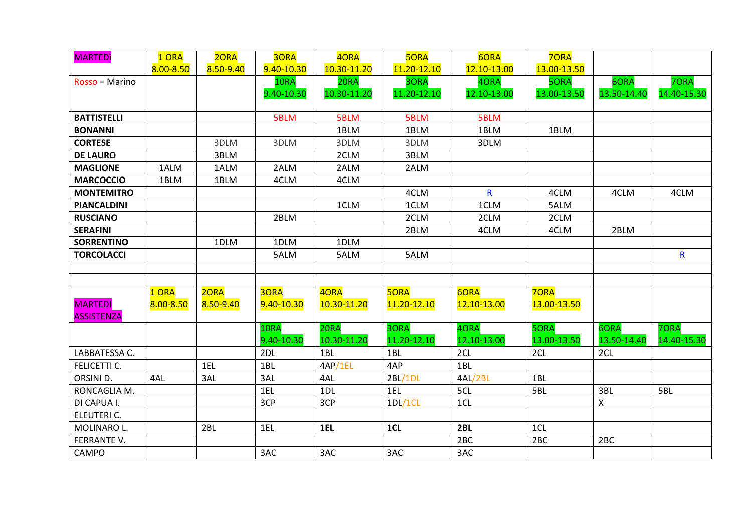| <b>MARTED</b>      | 1 ORA     | 2ORA      | 30RA       | 40RA        | <b>5ORA</b> | 6ORA                    | <b>70RA</b> |             |              |
|--------------------|-----------|-----------|------------|-------------|-------------|-------------------------|-------------|-------------|--------------|
|                    | 8.00-8.50 | 8.50-9.40 | 9.40-10.30 | 10.30-11.20 | 11.20-12.10 | 12.10-13.00             | 13.00-13.50 |             |              |
| Rosso = Marino     |           |           | 10RA       | 20RA        | 3ORA        | 4ORA                    | <b>5ORA</b> | 6ORA        | 70RA         |
|                    |           |           | 9.40-10.30 | 10.30-11.20 | 11.20-12.10 | 12.10-13.00             | 13.00-13.50 | 13.50-14.40 | 14.40-15.30  |
|                    |           |           |            |             |             |                         |             |             |              |
| <b>BATTISTELLI</b> |           |           | 5BLM       | 5BLM        | 5BLM        | 5BLM                    |             |             |              |
| <b>BONANNI</b>     |           |           |            | 1BLM        | 1BLM        | 1BLM                    | 1BLM        |             |              |
| <b>CORTESE</b>     |           | 3DLM      | 3DLM       | 3DLM        | 3DLM        | 3DLM                    |             |             |              |
| <b>DE LAURO</b>    |           | 3BLM      |            | 2CLM        | 3BLM        |                         |             |             |              |
| <b>MAGLIONE</b>    | 1ALM      | 1ALM      | 2ALM       | 2ALM        | 2ALM        |                         |             |             |              |
| <b>MARCOCCIO</b>   | 1BLM      | 1BLM      | 4CLM       | 4CLM        |             |                         |             |             |              |
| <b>MONTEMITRO</b>  |           |           |            |             | 4CLM        | $\overline{\mathsf{R}}$ | 4CLM        | 4CLM        | 4CLM         |
| <b>PIANCALDINI</b> |           |           |            | 1CLM        | 1CLM        | 1CLM                    | 5ALM        |             |              |
| <b>RUSCIANO</b>    |           |           | 2BLM       |             | 2CLM        | 2CLM                    | 2CLM        |             |              |
| <b>SERAFINI</b>    |           |           |            |             | 2BLM        | 4CLM                    | 4CLM        | 2BLM        |              |
| <b>SORRENTINO</b>  |           | 1DLM      | 1DLM       | 1DLM        |             |                         |             |             |              |
| <b>TORCOLACCI</b>  |           |           | 5ALM       | 5ALM        | 5ALM        |                         |             |             | $\mathsf{R}$ |
|                    |           |           |            |             |             |                         |             |             |              |
|                    |           |           |            |             |             |                         |             |             |              |
|                    | 1 ORA     | 2ORA      | 30RA       | 40RA        | <b>5ORA</b> | 6ORA                    | <b>70RA</b> |             |              |
| <b>MARTEDI</b>     | 8.00-8.50 | 8.50-9.40 | 9.40-10.30 | 10.30-11.20 | 11.20-12.10 | 12.10-13.00             | 13.00-13.50 |             |              |
| <b>ASSISTENZA</b>  |           |           |            |             |             |                         |             |             |              |
|                    |           |           | 10RA       | 20RA        | 3ORA        | 4ORA                    | <b>5ORA</b> | 6ORA        | 70RA         |
|                    |           |           | 9.40-10.30 | 10.30-11.20 | 11.20-12.10 | 12.10-13.00             | 13.00-13.50 | 13.50-14.40 | 14.40-15.30  |
| LABBATESSA C.      |           |           | 2DL        | 1BL         | 1BL         | 2CL                     | 2CL         | 2CL         |              |
| FELICETTI C.       |           | 1EL       | 1BL        | 4AP/1EL     | 4AP         | 1BL                     |             |             |              |
| ORSINI D.          | 4AL       | 3AL       | 3AL        | 4AL         | 2BL/1DL     | 4AL/2BL                 | 1BL         |             |              |
| RONCAGLIA M.       |           |           | 1EL        | 1DL         | 1EL         | 5CL                     | 5BL         | 3BL         | 5BL          |
| DI CAPUA I.        |           |           | 3CP        | 3CP         | 1DL/1CL     | 1CL                     |             | X           |              |
| ELEUTERI C.        |           |           |            |             |             |                         |             |             |              |
| MOLINARO L.        |           | 2BL       | 1EL        | 1EL         | 1CL         | 2BL                     | 1CL         |             |              |
| FERRANTE V.        |           |           |            |             |             | 2 <sub>BC</sub>         | 2BC         | 2BC         |              |
| CAMPO              |           |           | 3AC        | 3AC         | 3AC         | 3AC                     |             |             |              |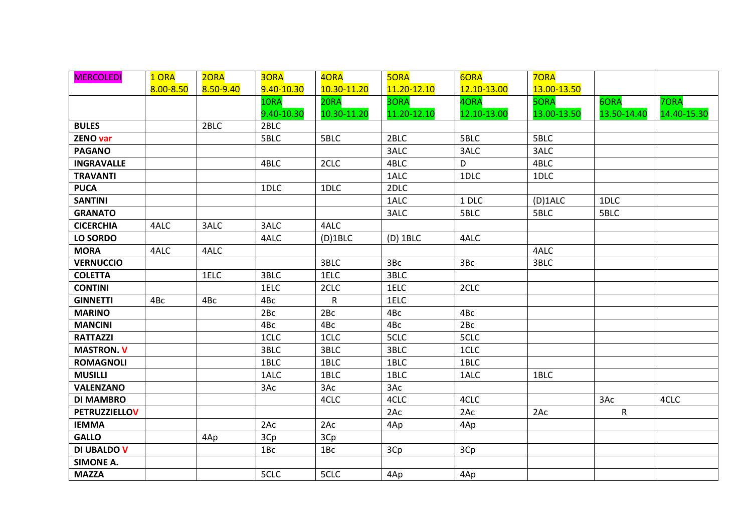| <b>MERCOLEDI</b>     | 1 ORA     | 2ORA      | 3ORA       | 4ORA        | <b>5ORA</b> | 6ORA        | <b>70RA</b> |              |             |
|----------------------|-----------|-----------|------------|-------------|-------------|-------------|-------------|--------------|-------------|
|                      | 8.00-8.50 | 8.50-9.40 | 9.40-10.30 | 10.30-11.20 | 11.20-12.10 | 12.10-13.00 | 13.00-13.50 |              |             |
|                      |           |           | 10RA       | 20RA        | 3ORA        | 4ORA        | <b>5ORA</b> | 6ORA         | 70RA        |
|                      |           |           | 9.40-10.30 | 10.30-11.20 | 11.20-12.10 | 12.10-13.00 | 13.00-13.50 | 13.50-14.40  | 14.40-15.30 |
| <b>BULES</b>         |           | 2BLC      | 2BLC       |             |             |             |             |              |             |
| <b>ZENO var</b>      |           |           | 5BLC       | 5BLC        | 2BLC        | 5BLC        | 5BLC        |              |             |
| <b>PAGANO</b>        |           |           |            |             | 3ALC        | 3ALC        | 3ALC        |              |             |
| <b>INGRAVALLE</b>    |           |           | 4BLC       | 2CLC        | 4BLC        | D           | 4BLC        |              |             |
| <b>TRAVANTI</b>      |           |           |            |             | 1ALC        | 1DLC        | 1DLC        |              |             |
| <b>PUCA</b>          |           |           | 1DLC       | 1DLC        | 2DLC        |             |             |              |             |
| <b>SANTINI</b>       |           |           |            |             | 1ALC        | 1 DLC       | $(D)$ 1ALC  | 1DLC         |             |
| <b>GRANATO</b>       |           |           |            |             | 3ALC        | 5BLC        | 5BLC        | 5BLC         |             |
| <b>CICERCHIA</b>     | 4ALC      | 3ALC      | 3ALC       | 4ALC        |             |             |             |              |             |
| LO SORDO             |           |           | 4ALC       | $(D)$ 1BLC  | $(D)$ 1BLC  | 4ALC        |             |              |             |
| <b>MORA</b>          | 4ALC      | 4ALC      |            |             |             |             | 4ALC        |              |             |
| <b>VERNUCCIO</b>     |           |           |            | 3BLC        | 3Bc         | 3Bc         | 3BLC        |              |             |
| <b>COLETTA</b>       |           | 1ELC      | 3BLC       | 1ELC        | 3BLC        |             |             |              |             |
| <b>CONTINI</b>       |           |           | 1ELC       | 2CLC        | 1ELC        | 2CLC        |             |              |             |
| <b>GINNETTI</b>      | 4Bc       | 4Bc       | 4Bc        | R           | 1ELC        |             |             |              |             |
| <b>MARINO</b>        |           |           | 2Bc        | 2Bc         | 4Bc         | 4Bc         |             |              |             |
| <b>MANCINI</b>       |           |           | 4Bc        | 4Bc         | 4Bc         | 2Bc         |             |              |             |
| <b>RATTAZZI</b>      |           |           | 1CLC       | 1CLC        | 5CLC        | 5CLC        |             |              |             |
| <b>MASTRON. V</b>    |           |           | 3BLC       | 3BLC        | 3BLC        | 1CLC        |             |              |             |
| <b>ROMAGNOLI</b>     |           |           | 1BLC       | 1BLC        | 1BLC        | 1BLC        |             |              |             |
| <b>MUSILLI</b>       |           |           | 1ALC       | 1BLC        | 1BLC        | 1ALC        | 1BLC        |              |             |
| <b>VALENZANO</b>     |           |           | 3Ac        | 3Ac         | 3Ac         |             |             |              |             |
| <b>DI MAMBRO</b>     |           |           |            | 4CLC        | 4CLC        | 4CLC        |             | 3Ac          | 4CLC        |
| <b>PETRUZZIELLOV</b> |           |           |            |             | 2Ac         | 2Ac         | 2Ac         | $\mathsf{R}$ |             |
| <b>IEMMA</b>         |           |           | 2Ac        | 2Ac         | 4Ap         | 4Ap         |             |              |             |
| <b>GALLO</b>         |           | 4Ap       | 3Cp        | 3Cp         |             |             |             |              |             |
| DI UBALDO V          |           |           | 1Bc        | 1Bc         | 3Cp         | 3Cp         |             |              |             |
| <b>SIMONE A.</b>     |           |           |            |             |             |             |             |              |             |
| <b>MAZZA</b>         |           |           | 5CLC       | 5CLC        | 4Ap         | 4Ap         |             |              |             |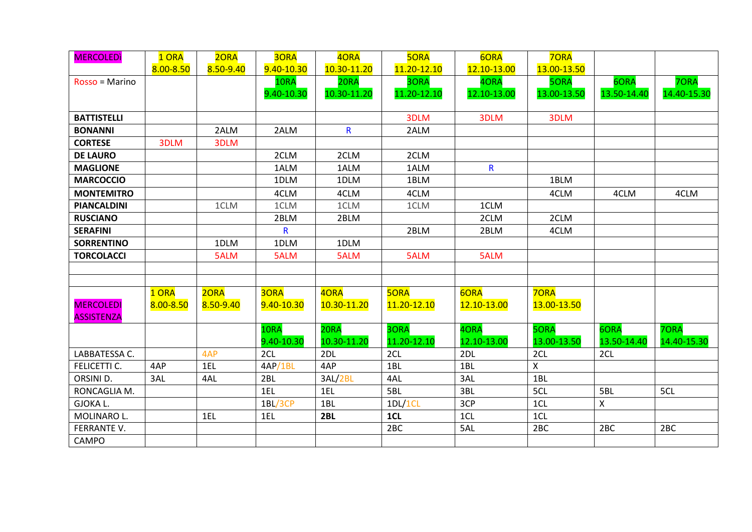| <b>MERCOLEDI</b>   | 1 ORA     | 2ORA      | 30RA       | 4ORA         | <b>5ORA</b> | 6ORA         | <b>70RA</b>  |                           |             |
|--------------------|-----------|-----------|------------|--------------|-------------|--------------|--------------|---------------------------|-------------|
|                    | 8.00-8.50 | 8.50-9.40 | 9.40-10.30 | 10.30-11.20  | 11.20-12.10 | 12.10-13.00  | 13.00-13.50  |                           |             |
| Rosso = Marino     |           |           | 10RA       | 20RA         | 3ORA        | 4ORA         | <b>5ORA</b>  | 6ORA                      | <b>7ORA</b> |
|                    |           |           | 9.40-10.30 | 10.30-11.20  | 11.20-12.10 | 12.10-13.00  | 13.00-13.50  | 13.50-14.40               | 14.40-15.30 |
|                    |           |           |            |              |             |              |              |                           |             |
| <b>BATTISTELLI</b> |           |           |            |              | 3DLM        | 3DLM         | 3DLM         |                           |             |
| <b>BONANNI</b>     |           | 2ALM      | 2ALM       | $\mathsf{R}$ | 2ALM        |              |              |                           |             |
| <b>CORTESE</b>     | 3DLM      | 3DLM      |            |              |             |              |              |                           |             |
| <b>DE LAURO</b>    |           |           | 2CLM       | 2CLM         | 2CLM        |              |              |                           |             |
| <b>MAGLIONE</b>    |           |           | 1ALM       | 1ALM         | 1ALM        | $\mathsf{R}$ |              |                           |             |
| <b>MARCOCCIO</b>   |           |           | 1DLM       | 1DLM         | 1BLM        |              | 1BLM         |                           |             |
| <b>MONTEMITRO</b>  |           |           | 4CLM       | 4CLM         | 4CLM        |              | 4CLM         | 4CLM                      | 4CLM        |
| <b>PIANCALDINI</b> |           | 1CLM      | 1CLM       | 1CLM         | 1CLM        | 1CLM         |              |                           |             |
| <b>RUSCIANO</b>    |           |           | 2BLM       | 2BLM         |             | 2CLM         | 2CLM         |                           |             |
| <b>SERAFINI</b>    |           |           | R.         |              | 2BLM        | 2BLM         | 4CLM         |                           |             |
| <b>SORRENTINO</b>  |           | 1DLM      | 1DLM       | 1DLM         |             |              |              |                           |             |
| <b>TORCOLACCI</b>  |           | 5ALM      | 5ALM       | 5ALM         | 5ALM        | 5ALM         |              |                           |             |
|                    |           |           |            |              |             |              |              |                           |             |
|                    |           |           |            |              |             |              |              |                           |             |
|                    | 1 ORA     | 2ORA      | 3ORA       | 4ORA         | <b>5ORA</b> | 6ORA         | <b>70RA</b>  |                           |             |
| <b>MERCOLEDI</b>   | 8.00-8.50 | 8.50-9.40 | 9.40-10.30 | 10.30-11.20  | 11.20-12.10 | 12.10-13.00  | 13.00-13.50  |                           |             |
| <b>ASSISTENZA</b>  |           |           |            |              |             |              |              |                           |             |
|                    |           |           | 10RA       | 20RA         | 3ORA        | 40RA         | <b>5ORA</b>  | 6ORA                      | 70RA        |
|                    |           |           | 9.40-10.30 | 10.30-11.20  | 11.20-12.10 | 12.10-13.00  | 13.00-13.50  | 13.50-14.40               | 14.40-15.30 |
| LABBATESSA C.      |           | 4AP       | 2CL        | 2DL          | 2CL         | 2DL          | 2CL          | 2CL                       |             |
| FELICETTI C.       | 4AP       | 1EL       | 4AP/1BL    | 4AP          | 1BL         | 1BL          | $\mathsf{X}$ |                           |             |
| ORSINI D.          | 3AL       | 4AL       | 2BL        | 3AL/2BL      | 4AL         | 3AL          | 1BL          |                           |             |
| RONCAGLIA M.       |           |           | 1EL        | 1EL          | 5BL         | 3BL          | 5CL          | 5BL                       | 5CL         |
| <b>GJOKAL.</b>     |           |           | 1BL/3CP    | 1BL          | 1DL/1CL     | 3CP          | 1CL          | $\boldsymbol{\mathsf{X}}$ |             |
| MOLINARO L.        |           | 1EL       | 1EL        | 2BL          | 1CL         | 1CL          | 1CL          |                           |             |
| FERRANTE V.        |           |           |            |              | 2BC         | 5AL          | 2BC          | 2 <sub>BC</sub>           | 2BC         |
| CAMPO              |           |           |            |              |             |              |              |                           |             |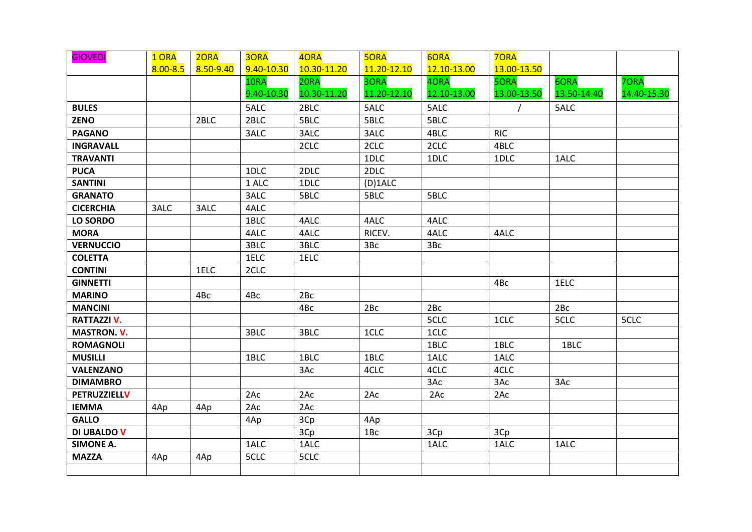| <b>GIOVEDI</b>      | 1 ORA        | 2ORA      | 3ORA       | 40RA        | <b>5ORA</b> | 6ORA        | <b>70RA</b> |             |             |
|---------------------|--------------|-----------|------------|-------------|-------------|-------------|-------------|-------------|-------------|
|                     | $8.00 - 8.5$ | 8.50-9.40 | 9.40-10.30 | 10.30-11.20 | 11.20-12.10 | 12.10-13.00 | 13.00-13.50 |             |             |
|                     |              |           | 10RA       | 20RA        | 3ORA        | 4ORA        | <b>5ORA</b> | 6ORA        | 70RA        |
|                     |              |           | 9.40-10.30 | 10.30-11.20 | 11.20-12.10 | 12.10-13.00 | 13.00-13.50 | 13.50-14.40 | 14.40-15.30 |
| <b>BULES</b>        |              |           | 5ALC       | 2BLC        | 5ALC        | 5ALC        |             | 5ALC        |             |
| <b>ZENO</b>         |              | 2BLC      | 2BLC       | 5BLC        | 5BLC        | 5BLC        |             |             |             |
| <b>PAGANO</b>       |              |           | 3ALC       | 3ALC        | 3ALC        | 4BLC        | <b>RIC</b>  |             |             |
| <b>INGRAVALL</b>    |              |           |            | 2CLC        | 2CLC        | 2CLC        | 4BLC        |             |             |
| <b>TRAVANTI</b>     |              |           |            |             | 1DLC        | 1DLC        | 1DLC        | 1ALC        |             |
| <b>PUCA</b>         |              |           | 1DLC       | 2DLC        | 2DLC        |             |             |             |             |
| <b>SANTINI</b>      |              |           | 1 ALC      | 1DLC        | $(D)$ 1ALC  |             |             |             |             |
| <b>GRANATO</b>      |              |           | 3ALC       | 5BLC        | 5BLC        | 5BLC        |             |             |             |
| <b>CICERCHIA</b>    | 3ALC         | 3ALC      | 4ALC       |             |             |             |             |             |             |
| LO SORDO            |              |           | 1BLC       | 4ALC        | 4ALC        | 4ALC        |             |             |             |
| <b>MORA</b>         |              |           | 4ALC       | 4ALC        | RICEV.      | 4ALC        | 4ALC        |             |             |
| <b>VERNUCCIO</b>    |              |           | 3BLC       | 3BLC        | 3Bc         | 3Bc         |             |             |             |
| <b>COLETTA</b>      |              |           | 1ELC       | 1ELC        |             |             |             |             |             |
| <b>CONTINI</b>      |              | 1ELC      | 2CLC       |             |             |             |             |             |             |
| <b>GINNETTI</b>     |              |           |            |             |             |             | 4Bc         | 1ELC        |             |
| <b>MARINO</b>       |              | 4Bc       | 4Bc        | 2Bc         |             |             |             |             |             |
| <b>MANCINI</b>      |              |           |            | 4Bc         | 2Bc         | 2Bc         |             | 2Bc         |             |
| <b>RATTAZZI V.</b>  |              |           |            |             |             | 5CLC        | 1CLC        | 5CLC        | 5CLC        |
| <b>MASTRON. V.</b>  |              |           | 3BLC       | 3BLC        | 1CLC        | 1CLC        |             |             |             |
| <b>ROMAGNOLI</b>    |              |           |            |             |             | 1BLC        | 1BLC        | 1BLC        |             |
| <b>MUSILLI</b>      |              |           | 1BLC       | 1BLC        | 1BLC        | 1ALC        | 1ALC        |             |             |
| <b>VALENZANO</b>    |              |           |            | 3Ac         | 4CLC        | 4CLC        | 4CLC        |             |             |
| <b>DIMAMBRO</b>     |              |           |            |             |             | 3Ac         | 3Ac         | 3Ac         |             |
| <b>PETRUZZIELLV</b> |              |           | 2Ac        | 2Ac         | 2AC         | 2Ac         | 2AC         |             |             |
| <b>IEMMA</b>        | 4Ap          | 4Ap       | 2Ac        | 2Ac         |             |             |             |             |             |
| <b>GALLO</b>        |              |           | 4Ap        | 3Cp         | 4Ap         |             |             |             |             |
| DI UBALDO V         |              |           |            | 3Cp         | 1Bc         | 3Cp         | 3Cp         |             |             |
| <b>SIMONE A.</b>    |              |           | 1ALC       | 1ALC        |             | 1ALC        | 1ALC        | 1ALC        |             |
| <b>MAZZA</b>        | 4Ap          | 4Ap       | 5CLC       | 5CLC        |             |             |             |             |             |
|                     |              |           |            |             |             |             |             |             |             |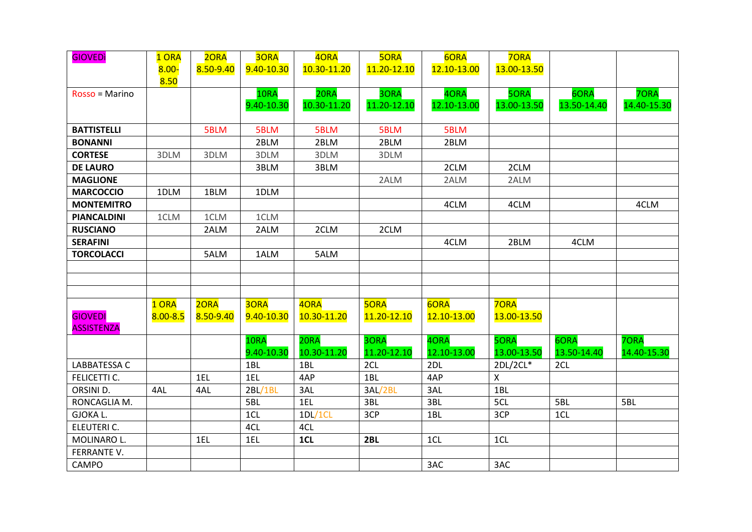| <b>GIOVEDI</b>     | 1 ORA        | 2ORA      | 3ORA       | 40RA        | <b>5ORA</b> | 6ORA        | <b>7ORA</b> |             |             |
|--------------------|--------------|-----------|------------|-------------|-------------|-------------|-------------|-------------|-------------|
|                    | $8.00 -$     | 8.50-9.40 | 9.40-10.30 | 10.30-11.20 | 11.20-12.10 | 12.10-13.00 | 13.00-13.50 |             |             |
|                    | 8.50         |           |            |             |             |             |             |             |             |
| Rosso = Marino     |              |           | 10RA       | 20RA        | 3ORA        | 4ORA        | <b>5ORA</b> | 6ORA        | <b>7ORA</b> |
|                    |              |           | 9.40-10.30 | 10.30-11.20 | 11.20-12.10 | 12.10-13.00 | 13.00-13.50 | 13.50-14.40 | 14.40-15.30 |
|                    |              |           |            |             |             |             |             |             |             |
| <b>BATTISTELLI</b> |              | 5BLM      | 5BLM       | 5BLM        | 5BLM        | 5BLM        |             |             |             |
| <b>BONANNI</b>     |              |           | 2BLM       | 2BLM        | 2BLM        | 2BLM        |             |             |             |
| <b>CORTESE</b>     | 3DLM         | 3DLM      | 3DLM       | 3DLM        | 3DLM        |             |             |             |             |
| <b>DE LAURO</b>    |              |           | 3BLM       | 3BLM        |             | 2CLM        | 2CLM        |             |             |
| <b>MAGLIONE</b>    |              |           |            |             | 2ALM        | 2ALM        | 2ALM        |             |             |
| <b>MARCOCCIO</b>   | 1DLM         | 1BLM      | 1DLM       |             |             |             |             |             |             |
| <b>MONTEMITRO</b>  |              |           |            |             |             | 4CLM        | 4CLM        |             | 4CLM        |
| <b>PIANCALDINI</b> | 1CLM         | 1CLM      | 1CLM       |             |             |             |             |             |             |
| <b>RUSCIANO</b>    |              | 2ALM      | 2ALM       | 2CLM        | 2CLM        |             |             |             |             |
| <b>SERAFINI</b>    |              |           |            |             |             | 4CLM        | 2BLM        | 4CLM        |             |
| <b>TORCOLACCI</b>  |              | 5ALM      | 1ALM       | 5ALM        |             |             |             |             |             |
|                    |              |           |            |             |             |             |             |             |             |
|                    |              |           |            |             |             |             |             |             |             |
|                    |              |           |            |             |             |             |             |             |             |
|                    | 1 ORA        | 2ORA      | 30RA       | 4ORA        | <b>5ORA</b> | 6ORA        | <b>70RA</b> |             |             |
| <b>GIOVEDI</b>     | $8.00 - 8.5$ | 8.50-9.40 | 9.40-10.30 | 10.30-11.20 | 11.20-12.10 | 12.10-13.00 | 13.00-13.50 |             |             |
| <b>ASSISTENZA</b>  |              |           |            |             |             |             |             |             |             |
|                    |              |           | 10RA       | 20RA        | 3ORA        | 4ORA        | 5ORA        | 6ORA        | 70RA        |
|                    |              |           | 9.40-10.30 | 10.30-11.20 | 11.20-12.10 | 12.10-13.00 | 13.00-13.50 | 13.50-14.40 | 14.40-15.30 |
| LABBATESSA C       |              |           | 1BL        | 1BL         | 2CL         | 2DL         | 2DL/2CL*    | 2CL         |             |
| FELICETTI C.       |              | 1EL       | 1EL        | 4AP         | 1BL         | 4AP         | Χ           |             |             |
| ORSINI D.          | 4AL          | 4AL       | 2BL/1BL    | 3AL         | 3AL/2BL     | 3AL         | 1BL         |             |             |
| RONCAGLIA M.       |              |           | 5BL        | 1EL         | 3BL         | 3BL         | 5CL         | 5BL         | 5BL         |
| <b>GJOKAL.</b>     |              |           | 1CL        | 1DL/1CL     | 3CP         | 1BL         | 3CP         | 1CL         |             |
| ELEUTERI C.        |              |           | 4CL        | 4CL         |             |             |             |             |             |
| MOLINARO L.        |              | 1EL       | 1EL        | 1CL         | 2BL         | 1CL         | 1CL         |             |             |
| FERRANTE V.        |              |           |            |             |             |             |             |             |             |
| CAMPO              |              |           |            |             |             | 3AC         | 3AC         |             |             |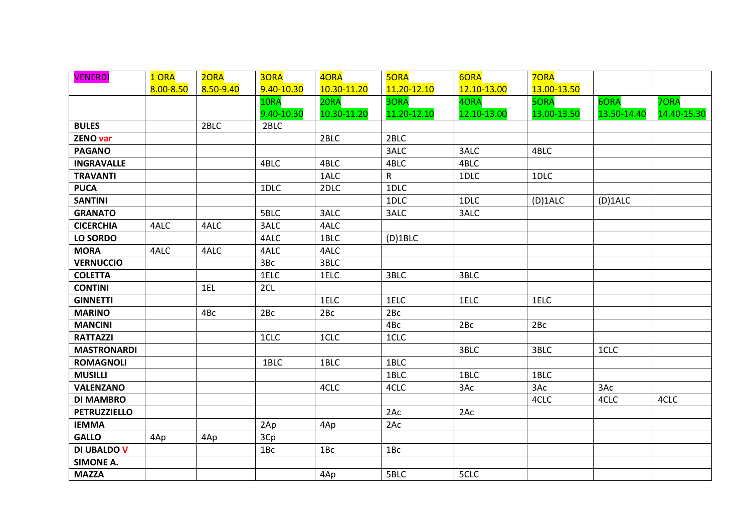| <b>VENERDI</b>      | 1 ORA     | 2ORA      | 30RA       | 4ORA        | <b>5ORA</b>     | 6ORA        | <b>70RA</b> |             |             |
|---------------------|-----------|-----------|------------|-------------|-----------------|-------------|-------------|-------------|-------------|
|                     | 8.00-8.50 | 8.50-9.40 | 9.40-10.30 | 10.30-11.20 | 11.20-12.10     | 12.10-13.00 | 13.00-13.50 |             |             |
|                     |           |           | 10RA       | 20RA        | 3ORA            | 4ORA        | <b>5ORA</b> | 6ORA        | <b>70RA</b> |
|                     |           |           | 9.40-10.30 | 10.30-11.20 | 11.20-12.10     | 12.10-13.00 | 13.00-13.50 | 13.50-14.40 | 14.40-15.30 |
| <b>BULES</b>        |           | 2BLC      | 2BLC       |             |                 |             |             |             |             |
| <b>ZENO var</b>     |           |           |            | 2BLC        | 2BLC            |             |             |             |             |
| <b>PAGANO</b>       |           |           |            |             | 3ALC            | 3ALC        | 4BLC        |             |             |
| <b>INGRAVALLE</b>   |           |           | 4BLC       | 4BLC        | 4BLC            | 4BLC        |             |             |             |
| <b>TRAVANTI</b>     |           |           |            | 1ALC        | R               | 1DLC        | 1DLC        |             |             |
| <b>PUCA</b>         |           |           | 1DLC       | 2DLC        | 1DLC            |             |             |             |             |
| <b>SANTINI</b>      |           |           |            |             | 1DLC            | 1DLC        | (D) 1ALC    | (D) 1ALC    |             |
| <b>GRANATO</b>      |           |           | 5BLC       | 3ALC        | 3ALC            | 3ALC        |             |             |             |
| <b>CICERCHIA</b>    | 4ALC      | 4ALC      | 3ALC       | 4ALC        |                 |             |             |             |             |
| LO SORDO            |           |           | 4ALC       | 1BLC        | $(D)$ 1BLC      |             |             |             |             |
| <b>MORA</b>         | 4ALC      | 4ALC      | 4ALC       | 4ALC        |                 |             |             |             |             |
| <b>VERNUCCIO</b>    |           |           | 3Bc        | 3BLC        |                 |             |             |             |             |
| <b>COLETTA</b>      |           |           | 1ELC       | 1ELC        | 3BLC            | 3BLC        |             |             |             |
| <b>CONTINI</b>      |           | 1EL       | 2CL        |             |                 |             |             |             |             |
| <b>GINNETTI</b>     |           |           |            | 1ELC        | 1ELC            | 1ELC        | 1ELC        |             |             |
| <b>MARINO</b>       |           | 4Bc       | 2Bc        | 2Bc         | 2Bc             |             |             |             |             |
| <b>MANCINI</b>      |           |           |            |             | 4Bc             | 2Bc         | 2Bc         |             |             |
| <b>RATTAZZI</b>     |           |           | 1CLC       | 1CLC        | 1CLC            |             |             |             |             |
| <b>MASTRONARDI</b>  |           |           |            |             |                 | 3BLC        | 3BLC        | 1CLC        |             |
| <b>ROMAGNOLI</b>    |           |           | 1BLC       | 1BLC        | 1BLC            |             |             |             |             |
| <b>MUSILLI</b>      |           |           |            |             | 1BLC            | 1BLC        | 1BLC        |             |             |
| <b>VALENZANO</b>    |           |           |            | 4CLC        | 4CLC            | 3Ac         | 3Ac         | 3Ac         |             |
| <b>DI MAMBRO</b>    |           |           |            |             |                 |             | 4CLC        | 4CLC        | 4CLC        |
| <b>PETRUZZIELLO</b> |           |           |            |             | 2Ac             | 2Ac         |             |             |             |
| <b>IEMMA</b>        |           |           | 2Ap        | 4Ap         | 2Ac             |             |             |             |             |
| <b>GALLO</b>        | 4Ap       | 4Ap       | 3Cp        |             |                 |             |             |             |             |
| <b>DI UBALDO V</b>  |           |           | 1Bc        | 1BC         | 1B <sub>C</sub> |             |             |             |             |
| <b>SIMONE A.</b>    |           |           |            |             |                 |             |             |             |             |
| <b>MAZZA</b>        |           |           |            | 4Ap         | 5BLC            | 5CLC        |             |             |             |